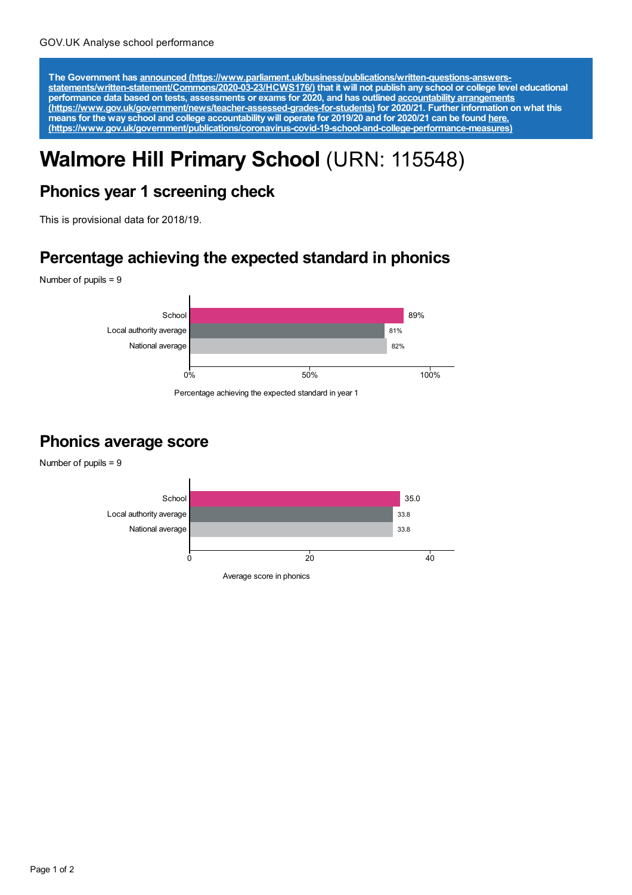The Government has announced [\(https://www.parliament.uk/business/publications/written-questions-answers-](https://www.parliament.uk/business/publications/written-questions-answers-statements/written-statement/Commons/2020-03-23/HCWS176/)<br>statements/written-statement/Commons/2020-03-23/HCWS176/) that it will not publish any school or college level educat **performance data based on tests, assessments or exams for 2020, and has outlined accountability arrangements [\(https://www.gov.uk/government/news/teacher-assessed-grades-for-students\)](https://www.gov.uk/government/news/teacher-assessed-grades-for-students) for 2020/21. Further information on what this** means for the way school and college accountability will operate for 2019/20 and for 2020/21 can be found <u>here.</u> **[\(https://www.gov.uk/government/publications/coronavirus-covid-19-school-and-college-performance-measures\)](https://www.gov.uk/government/publications/coronavirus-covid-19-school-and-college-performance-measures)**

# **Walmore Hill Primary School** (URN: 115548)

## **Phonics year 1 screening check**

This is provisional data for 2018/19.

#### **Percentage achieving the expected standard in phonics**

Number of pupils = 9



Percentage achieving the expected standard in year 1

#### **Phonics average score**

Number of pupils = 9